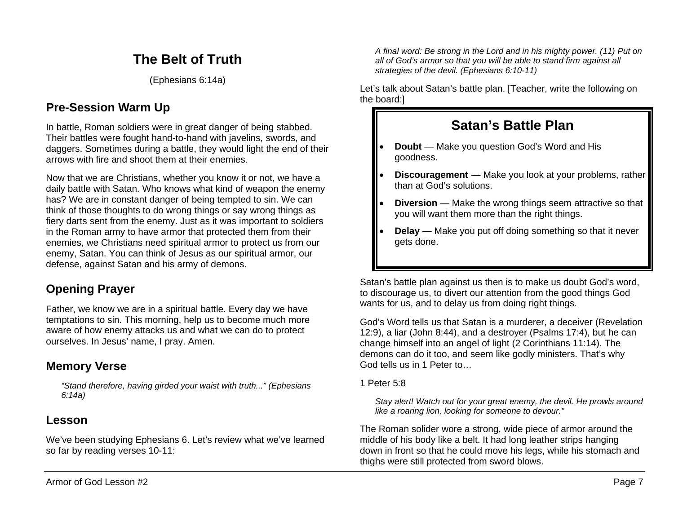# **The Belt of Truth**

(Ephesians 6:14a)

## **Pre-Session Warm Up**

In battle, Roman soldiers were in great danger of being stabbed. Their battles were fought hand-to-hand with javelins, swords, and daggers. Sometimes during a battle, they would light the end of their arrows with fire and shoot them at their enemies.

Now that we are Christians, whether you know it or not, we have a daily battle with Satan. Who knows what kind of weapon the enemy has? We are in constant danger of being tempted to sin. We can think of those thoughts to do wrong things or say wrong things as fiery darts sent from the enemy. Just as it was important to soldiers in the Roman army to have armor that protected them from their enemies, we Christians need spiritual armor to protect us from our enemy, Satan. You can think of Jesus as our spiritual armor, our defense, against Satan and his army of demons.

### **Opening Prayer**

Father, we know we are in a spiritual battle. Every day we have temptations to sin. This morning, help us to become much more aware of how enemy attacks us and what we can do to protect ourselves. In Jesus' name, I pray. Amen.

### **Memory Verse**

*"Stand therefore, having girded your waist with truth..." (Ephesians 6:14a)*

### **Lesson**

We've been studying Ephesians 6. Let's review what we've learned so far by reading verses 10-11:

*A final word: Be strong in the Lord and in his mighty power. (11) Put on all of God's armor so that you will be able to stand firm against all strategies of the devil. (Ephesians 6:10-11)*

Let's talk about Satan's battle plan. [Teacher, write the following on the board:]

# **Satan's Battle Plan**

- **Doubt** Make you question God's Word and His goodness.
- **Discouragement** Make you look at your problems, rather than at God's solutions.
- **Diversion** Make the wrong things seem attractive so that you will want them more than the right things.
- **Delay** Make you put off doing something so that it never gets done.

Satan's battle plan against us then is to make us doubt God's word, to discourage us, to divert our attention from the good things God wants for us, and to delay us from doing right things.

God's Word tells us that Satan is a murderer, a deceiver (Revelation 12:9), a liar (John 8:44), and a destroyer (Psalms 17:4), but he can change himself into an angel of light (2 Corinthians 11:14). The demons can do it too, and seem like godly ministers. That's why God tells us in 1 Peter to…

1 Peter 5:8

*Stay alert! Watch out for your great enemy, the devil. He prowls around like a roaring lion, looking for someone to devour."*

The Roman solider wore a strong, wide piece of armor around the middle of his body like a belt. It had long leather strips hanging down in front so that he could move his legs, while his stomach and thighs were still protected from sword blows.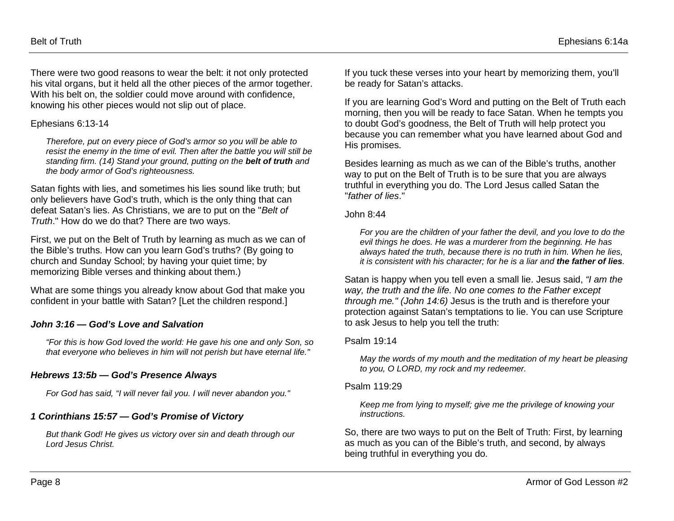There were two good reasons to wear the belt: it not only protected his vital organs, but it held all the other pieces of the armor together. With his belt on, the soldier could move around with confidence. knowing his other pieces would not slip out of place.

#### Ephesians 6:13-14

*Therefore, put on every piece of God's armor so you will be able to resist the enemy in the time of evil. Then after the battle you will still be standing firm. (14) Stand your ground, putting on the belt of truth and the body armor of God's righteousness.*

Satan fights with lies, and sometimes his lies sound like truth; but only believers have God's truth, which is the only thing that can defeat Satan's lies. As Christians, we are to put on the "*Belt of Truth*." How do we do that? There are two ways.

First, we put on the Belt of Truth by learning as much as we can of the Bible's truths. How can you learn God's truths? (By going to church and Sunday School; by having your quiet time; by memorizing Bible verses and thinking about them.)

What are some things you already know about God that make you confident in your battle with Satan? [Let the children respond.]

#### *John 3:16 — God's Love and Salvation*

*"For this is how God loved the world: He gave his one and only Son, so that everyone who believes in him will not perish but have eternal life."*

#### *Hebrews 13:5b — God's Presence Always*

*For God has said, "I will never fail you. I will never abandon you."*

### *1 Corinthians 15:57 — God's Promise of Victory*

*But thank God! He gives us victory over sin and death through our Lord Jesus Christ.*

If you tuck these verses into your heart by memorizing them, you'll be ready for Satan's attacks.

If you are learning God's Word and putting on the Belt of Truth each morning, then you will be ready to face Satan. When he tempts you to doubt God's goodness, the Belt of Truth will help protect you because you can remember what you have learned about God and His promises.

Besides learning as much as we can of the Bible's truths, another way to put on the Belt of Truth is to be sure that you are always truthful in everything you do. The Lord Jesus called Satan the "*father of lies*."

#### John 8:44

*For you are the children of your father the devil, and you love to do the evil things he does. He was a murderer from the beginning. He has always hated the truth, because there is no truth in him. When he lies, it is consistent with his character; for he is a liar and the father of lies.*

Satan is happy when you tell even a small lie. Jesus said, *"I am the way, the truth and the life. No one comes to the Father except through me." (John 14:6)* Jesus is the truth and is therefore your protection against Satan's temptations to lie. You can use Scripture to ask Jesus to help you tell the truth:

#### Psalm 19:14

*May the words of my mouth and the meditation of my heart be pleasing to you, O LORD, my rock and my redeemer.*

#### Psalm 119:29

*Keep me from lying to myself; give me the privilege of knowing your instructions.*

So, there are two ways to put on the Belt of Truth: First, by learning as much as you can of the Bible's truth, and second, by always being truthful in everything you do.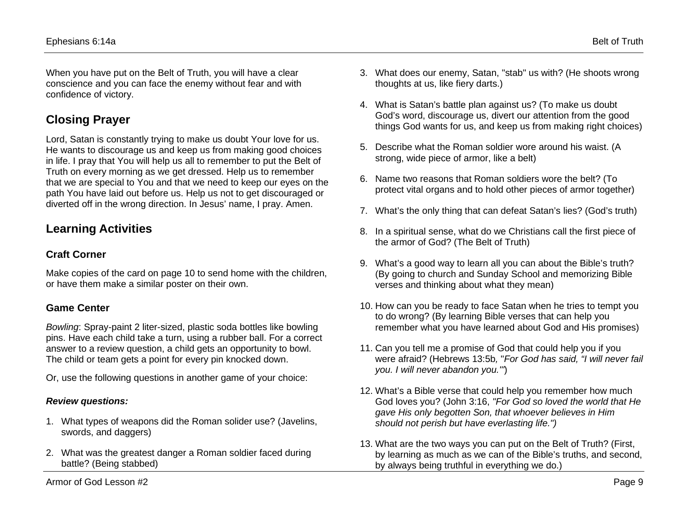When you have put on the Belt of Truth, you will have a clear conscience and you can face the enemy without fear and with confidence of victory.

# **Closing Prayer**

Lord, Satan is constantly trying to make us doubt Your love for us. He wants to discourage us and keep us from making good choices in life. I pray that You will help us all to remember to put the Belt of Truth on every morning as we get dressed. Help us to remember that we are special to You and that we need to keep our eyes on the path You have laid out before us. Help us not to get discouraged or diverted off in the wrong direction. In Jesus' name, I pray. Amen.

# **Learning Activities**

### **Craft Corner**

Make copies of the card on page 10 to send home with the children, or have them make a similar poster on their own.

### **Game Center**

*Bowling*: Spray-paint 2 liter-sized, plastic soda bottles like bowling pins. Have each child take a turn, using a rubber ball. For a correct answer to a review question, a child gets an opportunity to bowl. The child or team gets a point for every pin knocked down.

Or, use the following questions in another game of your choice:

### *Review questions:*

- 1. What types of weapons did the Roman solider use? (Javelins, swords, and daggers)
- 2. What was the greatest danger a Roman soldier faced during battle? (Being stabbed)
- 3. What does our enemy, Satan, "stab" us with? (He shoots wrong thoughts at us, like fiery darts.)
- 4. What is Satan's battle plan against us? (To make us doubt God's word, discourage us, divert our attention from the good things God wants for us, and keep us from making right choices)
- 5. Describe what the Roman soldier wore around his waist. (A strong, wide piece of armor, like a belt)
- 6. Name two reasons that Roman soldiers wore the belt? (To protect vital organs and to hold other pieces of armor together)
- 7. What's the only thing that can defeat Satan's lies? (God's truth)
- 8. In a spiritual sense, what do we Christians call the first piece of the armor of God? (The Belt of Truth)
- 9. What's a good way to learn all you can about the Bible's truth? (By going to church and Sunday School and memorizing Bible verses and thinking about what they mean)
- 10. How can you be ready to face Satan when he tries to tempt you to do wrong? (By learning Bible verses that can help you remember what you have learned about God and His promises)
- 11. Can you tell me a promise of God that could help you if you were afraid? (Hebrews 13:5b*,* "*For God has said, "I will never fail you. I will never abandon you.'"*)
- 12. What's a Bible verse that could help you remember how much God loves you? (John 3:16, *"For God so loved the world that He gave His only begotten Son, that whoever believes in Him should not perish but have everlasting life.")*
- 13. What are the two ways you can put on the Belt of Truth? (First, by learning as much as we can of the Bible's truths, and second, by always being truthful in everything we do.)